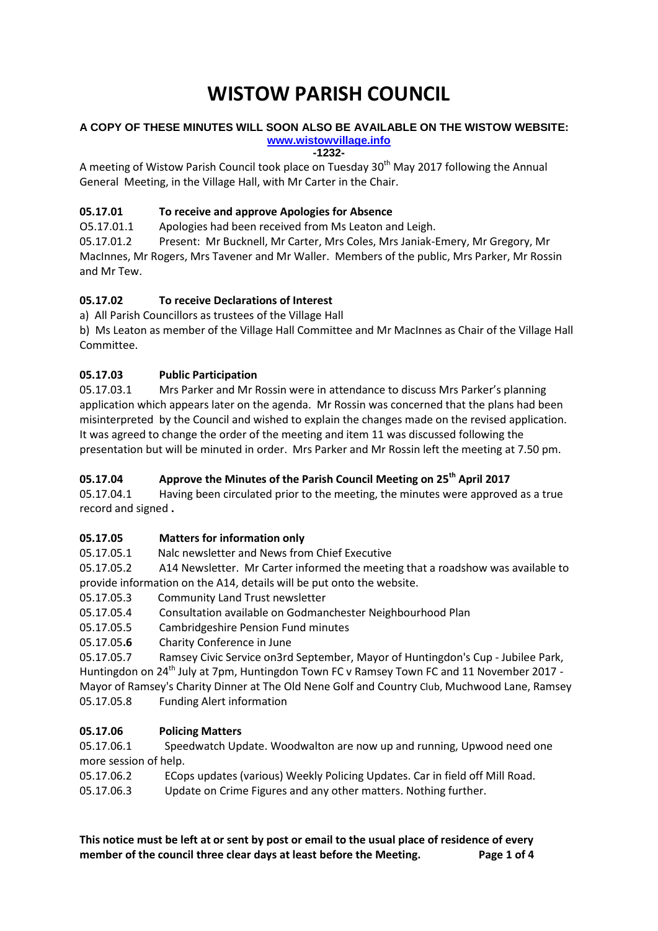# **WISTOW PARISH COUNCIL**

## **A COPY OF THESE MINUTES WILL SOON ALSO BE AVAILABLE ON THE WISTOW WEBSITE:**

**[www.wistowvillage.info](http://www.wistowvillage.info/) -1232-**

A meeting of Wistow Parish Council took place on Tuesday 30<sup>th</sup> May 2017 following the Annual General Meeting, in the Village Hall, with Mr Carter in the Chair.

## **05.17.01 To receive and approve Apologies for Absence**

O5.17.01.1 Apologies had been received from Ms Leaton and Leigh.

05.17.01.2 Present: Mr Bucknell, Mr Carter, Mrs Coles, Mrs Janiak-Emery, Mr Gregory, Mr MacInnes, Mr Rogers, Mrs Tavener and Mr Waller. Members of the public, Mrs Parker, Mr Rossin and Mr Tew.

## **05.17.02 To receive Declarations of Interest**

a) All Parish Councillors as trustees of the Village Hall

b) Ms Leaton as member of the Village Hall Committee and Mr MacInnes as Chair of the Village Hall Committee.

## **05.17.03 Public Participation**

05.17.03.1 Mrs Parker and Mr Rossin were in attendance to discuss Mrs Parker's planning application which appears later on the agenda. Mr Rossin was concerned that the plans had been misinterpreted by the Council and wished to explain the changes made on the revised application. It was agreed to change the order of the meeting and item 11 was discussed following the presentation but will be minuted in order. Mrs Parker and Mr Rossin left the meeting at 7.50 pm.

## **05.17.04 Approve the Minutes of the Parish Council Meeting on 25th April 2017**

05.17.04.1 Having been circulated prior to the meeting, the minutes were approved as a true record and signed **.**

## **05.17.05 Matters for information only**

05.17.05.1 Nalc newsletter and News from Chief Executive

05.17.05.2 A14 Newsletter. Mr Carter informed the meeting that a roadshow was available to provide information on the A14, details will be put onto the website.

- 05.17.05.3 Community Land Trust newsletter
- 05.17.05.4 Consultation available on Godmanchester Neighbourhood Plan
- 05.17.05.5 Cambridgeshire Pension Fund minutes
- 05.17.05**.6** Charity Conference in June

05.17.05.7 Ramsey Civic Service on3rd September, Mayor of Huntingdon's Cup - Jubilee Park, Huntingdon on 24<sup>th</sup> July at 7pm, Huntingdon Town FC v Ramsey Town FC and 11 November 2017 -Mayor of Ramsey's Charity Dinner at The Old Nene Golf and Country Club, Muchwood Lane, Ramsey 05.17.05.8 Funding Alert information

## **05.17.06 Policing Matters**

05.17.06.1 Speedwatch Update. Woodwalton are now up and running, Upwood need one more session of help.

05.17.06.2 ECops updates (various) Weekly Policing Updates. Car in field off Mill Road.

05.17.06.3 Update on Crime Figures and any other matters. Nothing further.

**This notice must be left at or sent by post or email to the usual place of residence of every member of the council three clear days at least before the Meeting. Page 1 of 4**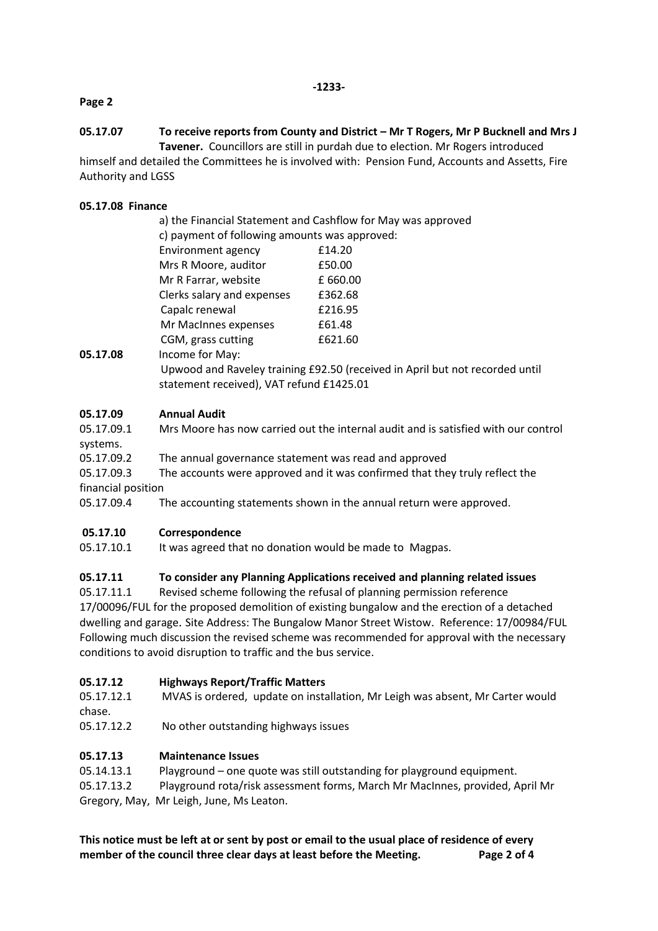#### **Page 2**

## **05.17.07 To receive reports from County and District – Mr T Rogers, Mr P Bucknell and Mrs J**

**Tavener.** Councillors are still in purdah due to election. Mr Rogers introduced himself and detailed the Committees he is involved with: Pension Fund, Accounts and Assetts, Fire Authority and LGSS

#### **05.17.08 Finance**

|          |                                               | a) the Financial Statement and Cashflow for May was approved |  |
|----------|-----------------------------------------------|--------------------------------------------------------------|--|
|          | c) payment of following amounts was approved: |                                                              |  |
|          | <b>Environment agency</b>                     | £14.20                                                       |  |
|          | Mrs R Moore, auditor                          | £50.00                                                       |  |
|          | Mr R Farrar, website                          | £ 660.00                                                     |  |
|          | Clerks salary and expenses                    | £362.68                                                      |  |
|          | Capalc renewal                                | £216.95                                                      |  |
|          | Mr MacInnes expenses                          | £61.48                                                       |  |
|          | CGM, grass cutting                            | £621.60                                                      |  |
| NE 17 NR | Income for May                                |                                                              |  |

**05.17.08** Income for May:

Upwood and Raveley training £92.50 (received in April but not recorded until statement received), VAT refund £1425.01

#### **05.17.09 Annual Audit**

| 05.17.09.1 | Mrs Moore has now carried out the internal audit and is satisfied with our control |
|------------|------------------------------------------------------------------------------------|
| systems.   |                                                                                    |

05.17.09.2 The annual governance statement was read and approved

05.17.09.3 The accounts were approved and it was confirmed that they truly reflect the financial position

05.17.09.4 The accounting statements shown in the annual return were approved.

#### **05.17.10 Correspondence**

05.17.10.1 It was agreed that no donation would be made to Magpas.

## **05.17.11 To consider any Planning Applications received and planning related issues**

05.17.11.1 Revised scheme following the refusal of planning permission reference 17/00096/FUL for the proposed demolition of existing bungalow and the erection of a detached dwelling and garage. Site Address: The Bungalow Manor Street Wistow. Reference: 17/00984/FUL Following much discussion the revised scheme was recommended for approval with the necessary conditions to avoid disruption to traffic and the bus service.

#### **05.17.12 Highways Report/Traffic Matters**

05.17.12.1 MVAS is ordered, update on installation, Mr Leigh was absent, Mr Carter would chase.

05.17.12.2 No other outstanding highways issues

## **05.17.13 Maintenance Issues**

05.14.13.1 Playground – one quote was still outstanding for playground equipment. 05.17.13.2 Playground rota/risk assessment forms, March Mr MacInnes, provided, April Mr Gregory, May, Mr Leigh, June, Ms Leaton.

**This notice must be left at or sent by post or email to the usual place of residence of every member of the council three clear days at least before the Meeting. Page 2 of 4**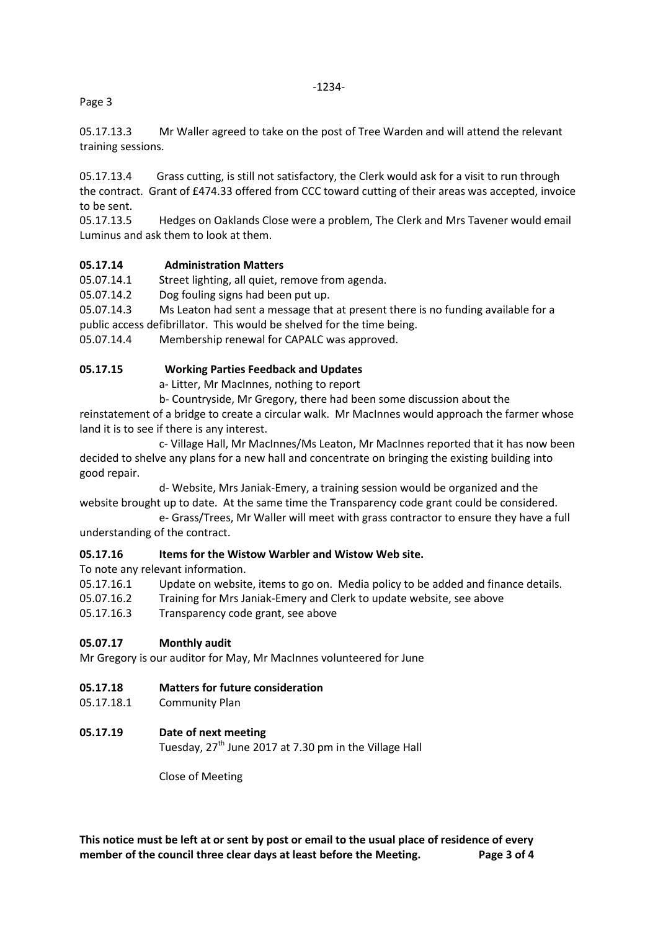-1234-

Page 3

05.17.13.3 Mr Waller agreed to take on the post of Tree Warden and will attend the relevant training sessions.

05.17.13.4 Grass cutting, is still not satisfactory, the Clerk would ask for a visit to run through the contract. Grant of £474.33 offered from CCC toward cutting of their areas was accepted, invoice to be sent.

05.17.13.5 Hedges on Oaklands Close were a problem, The Clerk and Mrs Tavener would email Luminus and ask them to look at them.

## **05.17.14 Administration Matters**

05.07.14.1 Street lighting, all quiet, remove from agenda.

05.07.14.2 Dog fouling signs had been put up.

05.07.14.3 Ms Leaton had sent a message that at present there is no funding available for a public access defibrillator. This would be shelved for the time being.

05.07.14.4 Membership renewal for CAPALC was approved.

#### **05.17.15 Working Parties Feedback and Updates**

a- Litter, Mr MacInnes, nothing to report

b- Countryside, Mr Gregory, there had been some discussion about the

reinstatement of a bridge to create a circular walk. Mr MacInnes would approach the farmer whose land it is to see if there is any interest.

c- Village Hall, Mr MacInnes/Ms Leaton, Mr MacInnes reported that it has now been decided to shelve any plans for a new hall and concentrate on bringing the existing building into good repair.

d- Website, Mrs Janiak-Emery, a training session would be organized and the website brought up to date. At the same time the Transparency code grant could be considered. e- Grass/Trees, Mr Waller will meet with grass contractor to ensure they have a full

understanding of the contract.

## **05.17.16 Items for the Wistow Warbler and Wistow Web site.**

To note any relevant information.

05.17.16.1 Update on website, items to go on. Media policy to be added and finance details.

05.07.16.2 Training for Mrs Janiak-Emery and Clerk to update website, see above

05.17.16.3 Transparency code grant, see above

#### **05.07.17 Monthly audit**

Mr Gregory is our auditor for May, Mr MacInnes volunteered for June

## **05.17.18 Matters for future consideration**

05.17.18.1 Community Plan

## **05.17.19 Date of next meeting**

Tuesday, 27<sup>th</sup> June 2017 at 7.30 pm in the Village Hall

Close of Meeting

**This notice must be left at or sent by post or email to the usual place of residence of every member of the council three clear days at least before the Meeting. Page 3 of 4**